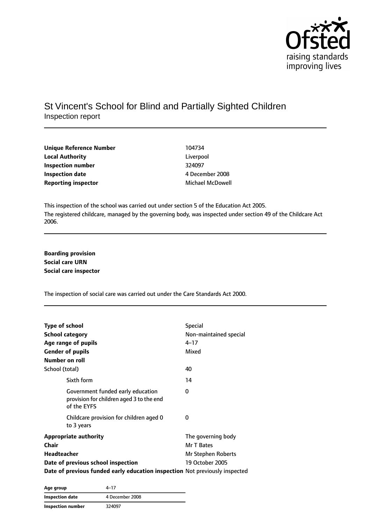

## St Vincent's School for Blind and Partially Sighted Children Inspection report

| Unique Reference Number    | 104734                  |
|----------------------------|-------------------------|
| <b>Local Authority</b>     | Liverpool               |
| Inspection number          | 324097                  |
| <b>Inspection date</b>     | 4 December 2008         |
| <b>Reporting inspector</b> | <b>Michael McDowell</b> |

This inspection of the school was carried out under section 5 of the Education Act 2005. The registered childcare, managed by the governing body, was inspected under section 49 of the Childcare Act 2006.

**Boarding provision Social care URN Social care inspector**

The inspection of social care was carried out under the Care Standards Act 2000.

| <b>Type of school</b>                                                                        | <b>Special</b>         |
|----------------------------------------------------------------------------------------------|------------------------|
| <b>School category</b>                                                                       | Non-maintained special |
| Age range of pupils                                                                          | $4 - 17$               |
| <b>Gender of pupils</b>                                                                      | Mixed                  |
| Number on roll                                                                               |                        |
| School (total)                                                                               | 40                     |
| Sixth form                                                                                   | 14                     |
| Government funded early education<br>provision for children aged 3 to the end<br>of the EYFS | 0                      |
| Childcare provision for children aged 0<br>to 3 years                                        | 0                      |
| <b>Appropriate authority</b>                                                                 | The governing body     |
| Chair                                                                                        | Mr T Bates             |
| <b>Headteacher</b>                                                                           | Mr Stephen Roberts     |
| Date of previous school inspection                                                           | 19 October 2005        |
| Date of previous funded early education inspection Not previously inspected                  |                        |

| Age group         | 4–17            |  |
|-------------------|-----------------|--|
| Inspection date   | 4 December 2008 |  |
| Inspection number | 324097          |  |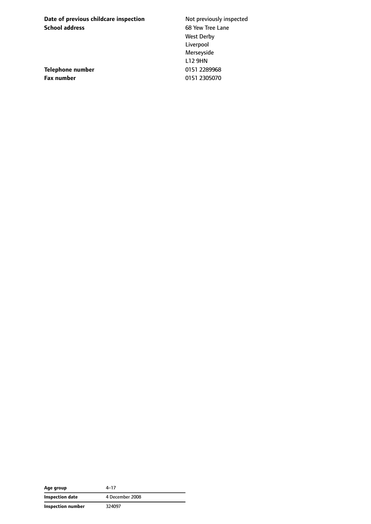**Date of previous childcare inspection** Not previously inspected **School address** 68 Yew Tree Lane

**Telephone number** 0151 2289968 **Fax number** 0151 2305070

West Derby Liverpool Merseyside L12 9HN

| Age group         | 4–17            |
|-------------------|-----------------|
| Inspection date   | 4 December 2008 |
| Inspection number | 324097          |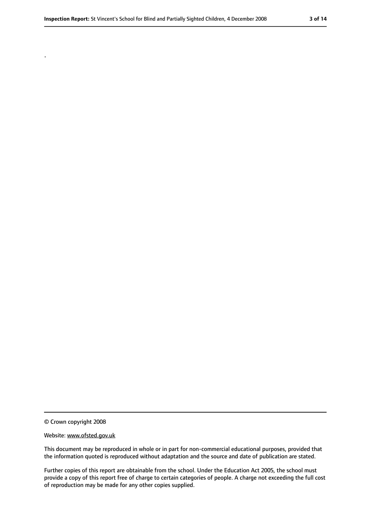© Crown copyright 2008

.

#### Website: www.ofsted.gov.uk

This document may be reproduced in whole or in part for non-commercial educational purposes, provided that the information quoted is reproduced without adaptation and the source and date of publication are stated.

Further copies of this report are obtainable from the school. Under the Education Act 2005, the school must provide a copy of this report free of charge to certain categories of people. A charge not exceeding the full cost of reproduction may be made for any other copies supplied.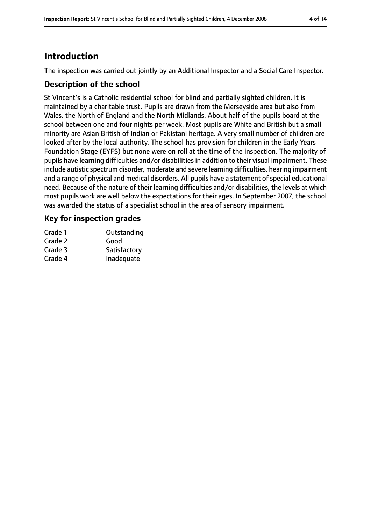# **Introduction**

The inspection was carried out jointly by an Additional Inspector and a Social Care Inspector.

### **Description of the school**

St Vincent's is a Catholic residential school for blind and partially sighted children. It is maintained by a charitable trust. Pupils are drawn from the Merseyside area but also from Wales, the North of England and the North Midlands. About half of the pupils board at the school between one and four nights per week. Most pupils are White and British but a small minority are Asian British of Indian or Pakistani heritage. A very small number of children are looked after by the local authority. The school has provision for children in the Early Years Foundation Stage (EYFS) but none were on roll at the time of the inspection. The majority of pupils have learning difficulties and/or disabilities in addition to their visual impairment. These include autistic spectrum disorder, moderate and severe learning difficulties, hearing impairment and a range of physical and medical disorders. All pupils have a statement of special educational need. Because of the nature of their learning difficulties and/or disabilities, the levels at which most pupils work are well below the expectations for their ages. In September 2007, the school was awarded the status of a specialist school in the area of sensory impairment.

## **Key for inspection grades**

| Grade 1 | Outstanding  |
|---------|--------------|
| Grade 2 | Good         |
| Grade 3 | Satisfactory |
| Grade 4 | Inadequate   |
|         |              |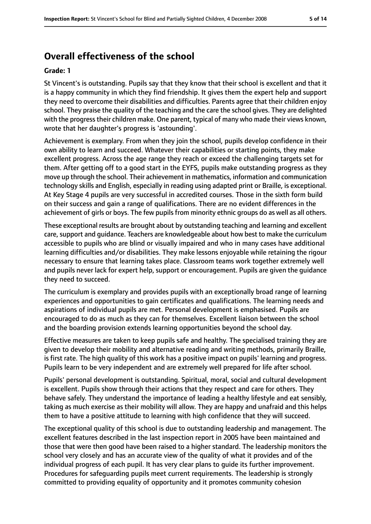# **Overall effectiveness of the school**

#### **Grade: 1**

St Vincent's is outstanding. Pupils say that they know that their school is excellent and that it is a happy community in which they find friendship. It gives them the expert help and support they need to overcome their disabilities and difficulties. Parents agree that their children enjoy school. They praise the quality of the teaching and the care the school gives. They are delighted with the progress their children make. One parent, typical of many who made their views known, wrote that her daughter's progress is 'astounding'.

Achievement is exemplary. From when they join the school, pupils develop confidence in their own ability to learn and succeed. Whatever their capabilities or starting points, they make excellent progress. Across the age range they reach or exceed the challenging targets set for them. After getting off to a good start in the EYFS, pupils make outstanding progress as they move up through the school. Their achievement in mathematics, information and communication technology skills and English, especially in reading using adapted print or Braille, is exceptional. At Key Stage 4 pupils are very successful in accredited courses. Those in the sixth form build on their success and gain a range of qualifications. There are no evident differences in the achievement of girls or boys. The few pupils from minority ethnic groups do as well as all others.

These exceptional results are brought about by outstanding teaching and learning and excellent care, support and guidance. Teachers are knowledgeable about how best to make the curriculum accessible to pupils who are blind or visually impaired and who in many cases have additional learning difficulties and/or disabilities. They make lessons enjoyable while retaining the rigour necessary to ensure that learning takes place. Classroom teams work together extremely well and pupils never lack for expert help, support or encouragement. Pupils are given the guidance they need to succeed.

The curriculum is exemplary and provides pupils with an exceptionally broad range of learning experiences and opportunities to gain certificates and qualifications. The learning needs and aspirations of individual pupils are met. Personal development is emphasised. Pupils are encouraged to do as much as they can for themselves. Excellent liaison between the school and the boarding provision extends learning opportunities beyond the school day.

Effective measures are taken to keep pupils safe and healthy. The specialised training they are given to develop their mobility and alternative reading and writing methods, primarily Braille, is first rate. The high quality of this work has a positive impact on pupils' learning and progress. Pupils learn to be very independent and are extremely well prepared for life after school.

Pupils' personal development is outstanding. Spiritual, moral, social and cultural development is excellent. Pupils show through their actions that they respect and care for others. They behave safely. They understand the importance of leading a healthy lifestyle and eat sensibly, taking as much exercise as their mobility will allow. They are happy and unafraid and this helps them to have a positive attitude to learning with high confidence that they will succeed.

The exceptional quality of this school is due to outstanding leadership and management. The excellent features described in the last inspection report in 2005 have been maintained and those that were then good have been raised to a higher standard. The leadership monitors the school very closely and has an accurate view of the quality of what it provides and of the individual progress of each pupil. It has very clear plans to guide its further improvement. Procedures for safeguarding pupils meet current requirements. The leadership is strongly committed to providing equality of opportunity and it promotes community cohesion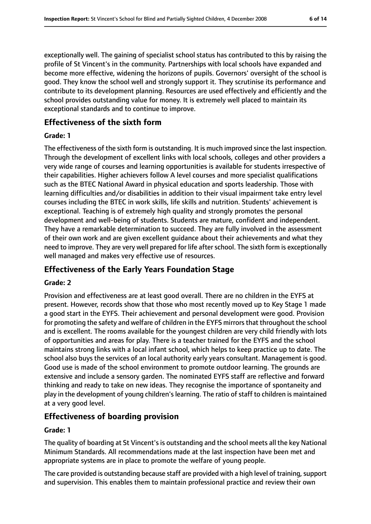exceptionally well. The gaining of specialist school status has contributed to this by raising the profile of St Vincent's in the community. Partnerships with local schools have expanded and become more effective, widening the horizons of pupils. Governors' oversight of the school is good. They know the school well and strongly support it. They scrutinise its performance and contribute to its development planning. Resources are used effectively and efficiently and the school provides outstanding value for money. It is extremely well placed to maintain its exceptional standards and to continue to improve.

### **Effectiveness of the sixth form**

### **Grade: 1**

The effectiveness of the sixth form is outstanding. It is much improved since the last inspection. Through the development of excellent links with local schools, colleges and other providers a very wide range of courses and learning opportunities is available for students irrespective of their capabilities. Higher achievers follow A level courses and more specialist qualifications such as the BTEC National Award in physical education and sports leadership. Those with learning difficulties and/or disabilities in addition to their visual impairment take entry level courses including the BTEC in work skills, life skills and nutrition. Students' achievement is exceptional. Teaching is of extremely high quality and strongly promotes the personal development and well-being of students. Students are mature, confident and independent. They have a remarkable determination to succeed. They are fully involved in the assessment of their own work and are given excellent guidance about their achievements and what they need to improve. They are very well prepared for life after school. The sixth form is exceptionally well managed and makes very effective use of resources.

## **Effectiveness of the Early Years Foundation Stage**

### **Grade: 2**

Provision and effectiveness are at least good overall. There are no children in the EYFS at present. However, records show that those who most recently moved up to Key Stage 1 made a good start in the EYFS. Their achievement and personal development were good. Provision for promoting the safety and welfare of children in the EYFS mirrors that throughout the school and is excellent. The rooms available for the youngest children are very child friendly with lots of opportunities and areas for play. There is a teacher trained for the EYFS and the school maintains strong links with a local infant school, which helps to keep practice up to date. The school also buys the services of an local authority early years consultant. Management is good. Good use is made of the school environment to promote outdoor learning. The grounds are extensive and include a sensory garden. The nominated EYFS staff are reflective and forward thinking and ready to take on new ideas. They recognise the importance of spontaneity and play in the development of young children's learning. The ratio of staff to children is maintained at a very good level.

### **Effectiveness of boarding provision**

### **Grade: 1**

The quality of boarding at St Vincent's is outstanding and the school meets all the key National Minimum Standards. All recommendations made at the last inspection have been met and appropriate systems are in place to promote the welfare of young people.

The care provided is outstanding because staff are provided with a high level of training, support and supervision. This enables them to maintain professional practice and review their own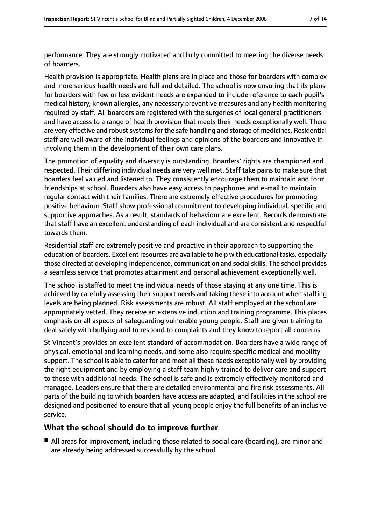performance. They are strongly motivated and fully committed to meeting the diverse needs of boarders.

Health provision is appropriate. Health plans are in place and those for boarders with complex and more serious health needs are full and detailed. The school is now ensuring that its plans for boarders with few or less evident needs are expanded to include reference to each pupil's medical history, known allergies, any necessary preventive measures and any health monitoring required by staff. All boarders are registered with the surgeries of local general practitioners and have access to a range of health provision that meets their needs exceptionally well. There are very effective and robust systems for the safe handling and storage of medicines. Residential staff are well aware of the individual feelings and opinions of the boarders and innovative in involving them in the development of their own care plans.

The promotion of equality and diversity is outstanding. Boarders' rights are championed and respected. Their differing individual needs are very well met. Staff take pains to make sure that boarders feel valued and listened to. They consistently encourage them to maintain and form friendships at school. Boarders also have easy access to payphones and e-mail to maintain regular contact with their families. There are extremely effective procedures for promoting positive behaviour. Staff show professional commitment to developing individual, specific and supportive approaches. As a result, standards of behaviour are excellent. Records demonstrate that staff have an excellent understanding of each individual and are consistent and respectful towards them.

Residential staff are extremely positive and proactive in their approach to supporting the education of boarders. Excellent resources are available to help with educational tasks, especially those directed at developing independence, communication and social skills. The school provides a seamless service that promotes attainment and personal achievement exceptionally well.

The school is staffed to meet the individual needs of those staying at any one time. This is achieved by carefully assessing their support needs and taking these into account when staffing levels are being planned. Risk assessments are robust. All staff employed at the school are appropriately vetted. They receive an extensive induction and training programme. This places emphasis on all aspects of safeguarding vulnerable young people. Staff are given training to deal safely with bullying and to respond to complaints and they know to report all concerns.

St Vincent's provides an excellent standard of accommodation. Boarders have a wide range of physical, emotional and learning needs, and some also require specific medical and mobility support. The school is able to cater for and meet all these needs exceptionally well by providing the right equipment and by employing a staff team highly trained to deliver care and support to those with additional needs. The school is safe and is extremely effectively monitored and managed. Leaders ensure that there are detailed environmental and fire risk assessments. All parts of the building to which boarders have access are adapted, and facilities in the school are designed and positioned to ensure that all young people enjoy the full benefits of an inclusive service.

## **What the school should do to improve further**

■ All areas for improvement, including those related to social care (boarding), are minor and are already being addressed successfully by the school.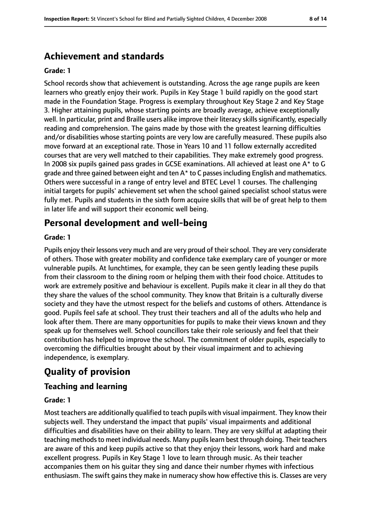# **Achievement and standards**

#### **Grade: 1**

School records show that achievement is outstanding. Across the age range pupils are keen learners who greatly enjoy their work. Pupils in Key Stage 1 build rapidly on the good start made in the Foundation Stage. Progress is exemplary throughout Key Stage 2 and Key Stage 3. Higher attaining pupils, whose starting points are broadly average, achieve exceptionally well. In particular, print and Braille users alike improve their literacy skills significantly, especially reading and comprehension. The gains made by those with the greatest learning difficulties and/or disabilities whose starting points are very low are carefully measured. These pupils also move forward at an exceptional rate. Those in Years 10 and 11 follow externally accredited courses that are very well matched to their capabilities. They make extremely good progress. In 2008 six pupils gained pass grades in GCSE examinations. All achieved at least one A\* to G grade and three gained between eight and ten A\* to C passes including English and mathematics. Others were successful in a range of entry level and BTEC Level 1 courses. The challenging initial targets for pupils' achievement set when the school gained specialist school status were fully met. Pupils and students in the sixth form acquire skills that will be of great help to them in later life and will support their economic well being.

# **Personal development and well-being**

### **Grade: 1**

Pupils enjoy their lessons very much and are very proud of their school. They are very considerate of others. Those with greater mobility and confidence take exemplary care of younger or more vulnerable pupils. At lunchtimes, for example, they can be seen gently leading these pupils from their classroom to the dining room or helping them with their food choice. Attitudes to work are extremely positive and behaviour is excellent. Pupils make it clear in all they do that they share the values of the school community. They know that Britain is a culturally diverse society and they have the utmost respect for the beliefs and customs of others. Attendance is good. Pupils feel safe at school. They trust their teachers and all of the adults who help and look after them. There are many opportunities for pupils to make their views known and they speak up for themselves well. School councillors take their role seriously and feel that their contribution has helped to improve the school. The commitment of older pupils, especially to overcoming the difficulties brought about by their visual impairment and to achieving independence, is exemplary.

## **Quality of provision**

### **Teaching and learning**

#### **Grade: 1**

Most teachers are additionally qualified to teach pupils with visual impairment. They know their subjects well. They understand the impact that pupils' visual impairments and additional difficulties and disabilities have on their ability to learn. They are very skilful at adapting their teaching methodsto meet individual needs. Many pupilslearn best through doing. Their teachers are aware of this and keep pupils active so that they enjoy their lessons, work hard and make excellent progress. Pupils in Key Stage 1 love to learn through music. As their teacher accompanies them on his guitar they sing and dance their number rhymes with infectious enthusiasm. The swift gains they make in numeracy show how effective this is. Classes are very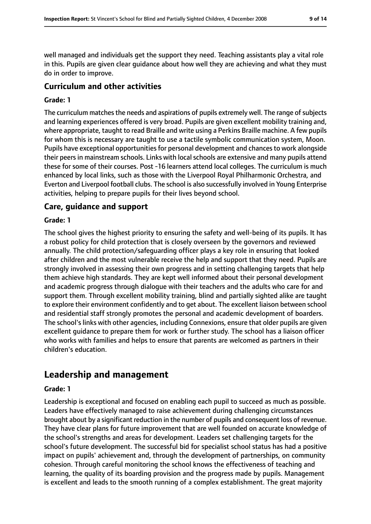well managed and individuals get the support they need. Teaching assistants play a vital role in this. Pupils are given clear guidance about how well they are achieving and what they must do in order to improve.

## **Curriculum and other activities**

#### **Grade: 1**

The curriculum matches the needs and aspirations of pupils extremely well. The range of subjects and learning experiences offered is very broad. Pupils are given excellent mobility training and, where appropriate, taught to read Braille and write using a Perkins Braille machine. A few pupils for whom this is necessary are taught to use a tactile symbolic communication system, Moon. Pupils have exceptional opportunities for personal development and chances to work alongside their peers in mainstream schools. Links with local schools are extensive and many pupils attend these for some of their courses. Post -16 learners attend local colleges. The curriculum is much enhanced by local links, such as those with the Liverpool Royal Philharmonic Orchestra, and Everton and Liverpool football clubs. The school is also successfully involved in Young Enterprise activities, helping to prepare pupils for their lives beyond school.

### **Care, guidance and support**

#### **Grade: 1**

The school gives the highest priority to ensuring the safety and well-being of its pupils. It has a robust policy for child protection that is closely overseen by the governors and reviewed annually. The child protection/safeguarding officer plays a key role in ensuring that looked after children and the most vulnerable receive the help and support that they need. Pupils are strongly involved in assessing their own progress and in setting challenging targets that help them achieve high standards. They are kept well informed about their personal development and academic progress through dialogue with their teachers and the adults who care for and support them. Through excellent mobility training, blind and partially sighted alike are taught to explore their environment confidently and to get about. The excellent liaison between school and residential staff strongly promotes the personal and academic development of boarders. The school's links with other agencies, including Connexions, ensure that older pupils are given excellent guidance to prepare them for work or further study. The school has a liaison officer who works with families and helps to ensure that parents are welcomed as partners in their children's education.

## **Leadership and management**

#### **Grade: 1**

Leadership is exceptional and focused on enabling each pupil to succeed as much as possible. Leaders have effectively managed to raise achievement during challenging circumstances brought about by a significant reduction in the number of pupils and consequent loss of revenue. They have clear plans for future improvement that are well founded on accurate knowledge of the school's strengths and areas for development. Leaders set challenging targets for the school's future development. The successful bid for specialist school status has had a positive impact on pupils' achievement and, through the development of partnerships, on community cohesion. Through careful monitoring the school knows the effectiveness of teaching and learning, the quality of its boarding provision and the progress made by pupils. Management is excellent and leads to the smooth running of a complex establishment. The great majority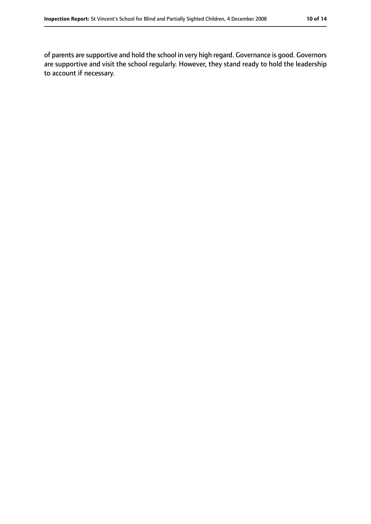of parents are supportive and hold the school in very high regard. Governance is good. Governors are supportive and visit the school regularly. However, they stand ready to hold the leadership to account if necessary.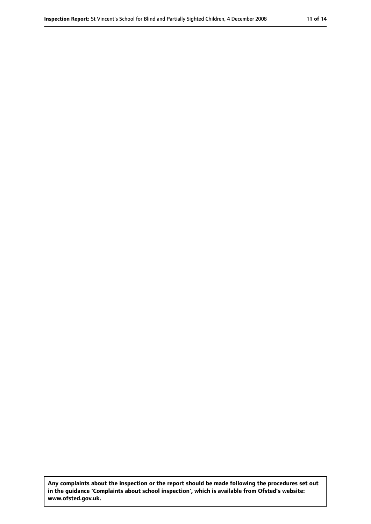**Any complaints about the inspection or the report should be made following the procedures set out in the guidance 'Complaints about school inspection', which is available from Ofsted's website: www.ofsted.gov.uk.**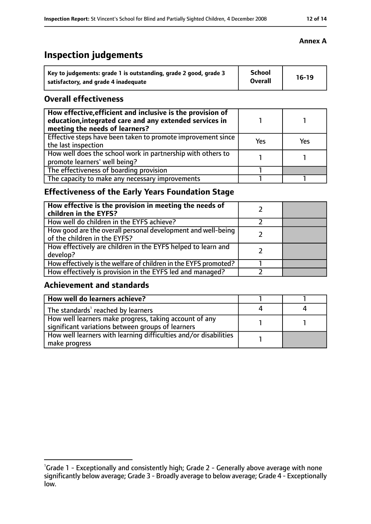# **Inspection judgements**

| Key to judgements: grade 1 is outstanding, grade 2 good, grade 3 | <b>School</b>  | $16-19$ |
|------------------------------------------------------------------|----------------|---------|
| satisfactory, and grade 4 inadequate                             | <b>Overall</b> |         |

## **Overall effectiveness**

| How effective, efficient and inclusive is the provision of<br>education, integrated care and any extended services in<br>meeting the needs of learners? |     |     |
|---------------------------------------------------------------------------------------------------------------------------------------------------------|-----|-----|
| Effective steps have been taken to promote improvement since<br>the last inspection                                                                     | Yes | Yes |
| How well does the school work in partnership with others to<br>promote learners' well being?                                                            |     |     |
| The effectiveness of boarding provision                                                                                                                 |     |     |
| The capacity to make any necessary improvements                                                                                                         |     |     |

## **Effectiveness of the Early Years Foundation Stage**

| How effective is the provision in meeting the needs of<br>children in the EYFS?              |  |
|----------------------------------------------------------------------------------------------|--|
| How well do children in the EYFS achieve?                                                    |  |
| How good are the overall personal development and well-being<br>of the children in the EYFS? |  |
| How effectively are children in the EYFS helped to learn and<br>develop?                     |  |
| How effectively is the welfare of children in the EYFS promoted?                             |  |
| How effectively is provision in the EYFS led and managed?                                    |  |

## **Achievement and standards**

| How well do learners achieve?                                                                               |  |
|-------------------------------------------------------------------------------------------------------------|--|
| The standards <sup>1</sup> reached by learners                                                              |  |
| How well learners make progress, taking account of any<br>significant variations between groups of learners |  |
| How well learners with learning difficulties and/or disabilities<br>make progress                           |  |

<sup>&</sup>lt;sup>1</sup>Grade 1 - Exceptionally and consistently high; Grade 2 - Generally above average with none significantly below average; Grade 3 - Broadly average to below average; Grade 4 - Exceptionally low.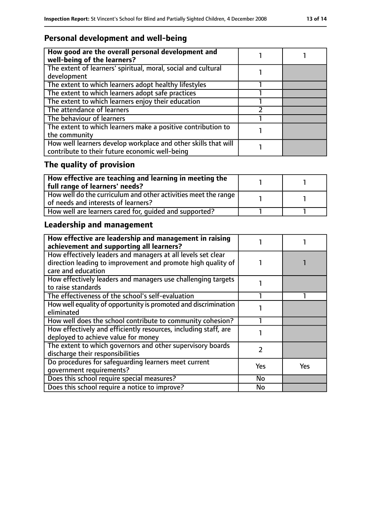## **Personal development and well-being**

| How good are the overall personal development and<br>well-being of the learners?                                 |  |
|------------------------------------------------------------------------------------------------------------------|--|
| The extent of learners' spiritual, moral, social and cultural<br>development                                     |  |
| The extent to which learners adopt healthy lifestyles                                                            |  |
| The extent to which learners adopt safe practices                                                                |  |
| The extent to which learners enjoy their education                                                               |  |
| The attendance of learners                                                                                       |  |
| The behaviour of learners                                                                                        |  |
| The extent to which learners make a positive contribution to<br>the community                                    |  |
| How well learners develop workplace and other skills that will<br>contribute to their future economic well-being |  |

# **The quality of provision**

| How effective are teaching and learning in meeting the<br>full range of learners' needs?              |  |
|-------------------------------------------------------------------------------------------------------|--|
| How well do the curriculum and other activities meet the range<br>of needs and interests of learners? |  |
| How well are learners cared for, quided and supported?                                                |  |

# **Leadership and management**

| How effective are leadership and management in raising<br>achievement and supporting all learners? |     |     |
|----------------------------------------------------------------------------------------------------|-----|-----|
| How effectively leaders and managers at all levels set clear                                       |     |     |
| direction leading to improvement and promote high quality of<br>care and education                 |     |     |
|                                                                                                    |     |     |
| How effectively leaders and managers use challenging targets                                       |     |     |
| to raise standards                                                                                 |     |     |
| The effectiveness of the school's self-evaluation                                                  |     |     |
| How well equality of opportunity is promoted and discrimination                                    |     |     |
| eliminated                                                                                         |     |     |
| How well does the school contribute to community cohesion?                                         |     |     |
| How effectively and efficiently resources, including staff, are                                    |     |     |
| deployed to achieve value for money                                                                |     |     |
| The extent to which governors and other supervisory boards                                         | 7   |     |
| discharge their responsibilities                                                                   |     |     |
| Do procedures for safeguarding learners meet current                                               | Yes | Yes |
| qovernment requirements?                                                                           |     |     |
| Does this school require special measures?                                                         | No  |     |
| Does this school require a notice to improve?                                                      | No  |     |